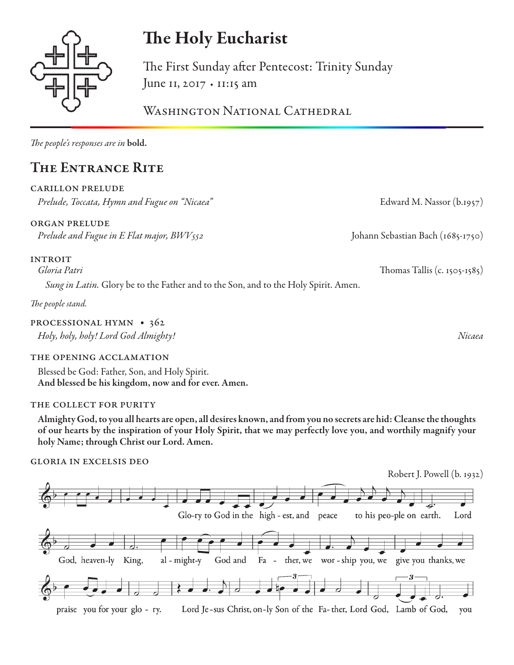

# The Holy Eucharist

The First Sunday after Pentecost: Trinity Sunday June 11, 2017 • 11:15 am

Washington National Cathedral

*The people's responses are in* bold.

# The Entrance Rite

# carillon prelude

*Prelude, Toccata, Hymn and Fugue on "Nicaea"* Edward M. Nassor (b.1957)

# organ prelude

*Prelude and Fugue in E Flat major, BWV552* Johann Sebastian Bach (1685-1750)

## **INTROIT**

*Sung in Latin.* Glory be to the Father and to the Son, and to the Holy Spirit. Amen.

*The people stand.* 

# processional hymn • 362 *Holy, holy, holy! Lord God Almighty! Nicaea*

# the opening acclamation

Blessed be God: Father, Son, and Holy Spirit. And blessed be his kingdom, now and for ever. Amen.

## THE COLLECT FOR PURITY

Almighty God, to you all hearts are open, all desires known, and from you no secrets are hid: Cleanse the thoughts of our hearts by the inspiration of your Holy Spirit, that we may perfectly love you, and worthily magnify your holy Name; through Christ our Lord. Amen.

# gloria in excelsis deo



*Gloria Patri* Thomas Tallis (c. 1505-1585)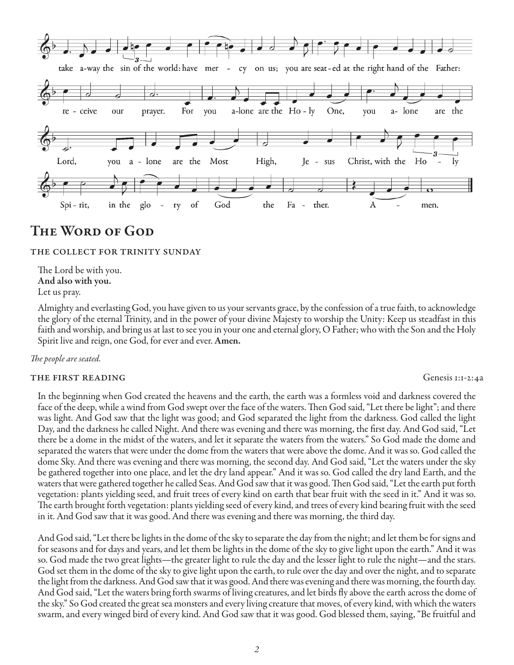

# The Word of God

#### the collect for trinity sunday

The Lord be with you. And also with you. Let us pray.

Almighty and everlasting God, you have given to us your servants grace, by the confession of a true faith, to acknowledge the glory of the eternal Trinity, and in the power of your divine Majesty to worship the Unity: Keep us steadfast in this faith and worship, and bring us at last to see you in your one and eternal glory, O Father; who with the Son and the Holy Spirit live and reign, one God, for ever and ever. Amen.

### *The people are seated.*

#### THE FIRST READING Genesis 1:1-2:4a

In the beginning when God created the heavens and the earth, the earth was a formless void and darkness covered the face of the deep, while a wind from God swept over the face of the waters. Then God said, "Let there be light"; and there was light. And God saw that the light was good; and God separated the light from the darkness. God called the light Day, and the darkness he called Night. And there was evening and there was morning, the first day. And God said, "Let there be a dome in the midst of the waters, and let it separate the waters from the waters." So God made the dome and separated the waters that were under the dome from the waters that were above the dome. And it was so. God called the dome Sky. And there was evening and there was morning, the second day. And God said, "Let the waters under the sky be gathered together into one place, and let the dry land appear." And it was so. God called the dry land Earth, and the waters that were gathered together he called Seas. And God saw that it was good. Then God said, "Let the earth put forth vegetation: plants yielding seed, and fruit trees of every kind on earth that bear fruit with the seed in it." And it was so. The earth brought forth vegetation: plants yielding seed of every kind, and trees of every kind bearing fruit with the seed in it. And God saw that it was good. And there was evening and there was morning, the third day.

And God said, "Let there be lights in the dome of the sky to separate the day from the night; and let them be for signs and for seasons and for days and years, and let them be lights in the dome of the sky to give light upon the earth." And it was so. God made the two great lights—the greater light to rule the day and the lesser light to rule the night—and the stars. God set them in the dome of the sky to give light upon the earth, to rule over the day and over the night, and to separate the light from the darkness. And God saw that it was good. And there was evening and there was morning, the fourth day. And God said, "Let the waters bring forth swarms of living creatures, and let birds fly above the earth across the dome of the sky." So God created the great sea monsters and every living creature that moves, of every kind, with which the waters swarm, and every winged bird of every kind. And God saw that it was good. God blessed them, saying, "Be fruitful and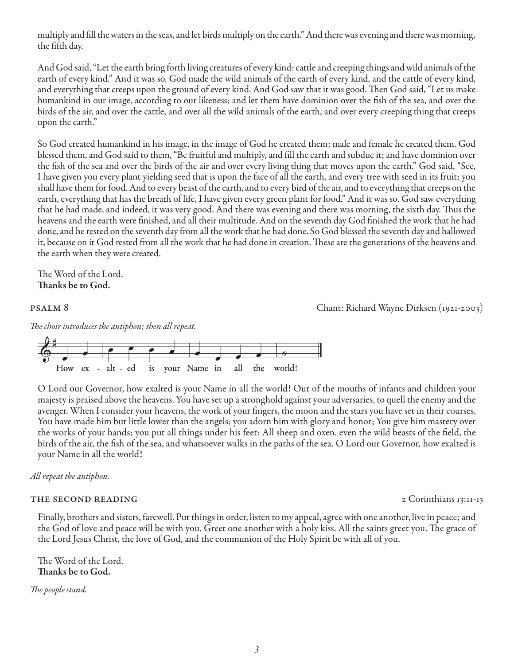multiply and fill the waters in the seas, and let birds multiply on the earth." And there was evening and there was morning, the fifth day.

And God said, "Let the earth bring forth living creatures of every kind: cattle and creeping things and wild animals of the earth of every kind." And it was so. God made the wild animals of the earth of every kind, and the cattle of every kind, and everything that creeps upon the ground of every kind. And God saw that it was good. Then God said, "Let us make humankind in our image, according to our likeness; and let them have dominion over the fish of the sea, and over the birds of the air, and over the cattle, and over all the wild animals of the earth, and over every creeping thing that creeps upon the earth."

So God created humankind in his image, in the image of God he created them; male and female he created them. God blessed them, and God said to them, "Be fruitful and multiply, and fill the earth and subdue it; and have dominion over the fish of the sea and over the birds of the air and over every living thing that moves upon the earth." God said, "See, I have given you every plant yielding seed that is upon the face of all the earth, and every tree with seed in its fruit; you shall have them for food. And to every beast of the earth, and to every bird of the air, and to everything that creeps on the earth, everything that has the breath of life, I have given every green plant for food." And it was so. God saw everything that he had made, and indeed, it was very good. And there was evening and there was morning, the sixth day. Thus the heavens and the earth were finished, and all their multitude. And on the seventh day God finished the work that he had done, and he rested on the seventh day from all the work that he had done. So God blessed the seventh day and hallowed it, because on it God rested from all the work that he had done in creation. These are the generations of the heavens and the earth when they were created.

The Word of the Lord. Thanks be to God.

psalm 8 Chant: Richard Wayne Dirksen (1921-2003)

*The choir introduces the antiphon; then all repeat.* 



O Lord our Governor, how exalted is your Name in all the world! Out of the mouths of infants and children your majesty is praised above the heavens. You have set up a stronghold against your adversaries, to quell the enemy and the avenger. When I consider your heavens, the work of your fingers, the moon and the stars you have set in their courses, You have made him but little lower than the angels; you adorn him with glory and honor; You give him mastery over the works of your hands; you put all things under his feet: All sheep and oxen, even the wild beasts of the field, the birds of the air, the fish of the sea, and whatsoever walks in the paths of the sea. O Lord our Governor, how exalted is your Name in all the world!

#### *All repeat the antiphon.*

#### THE SECOND READING 2 Corinthians 13:11-13

Finally, brothers and sisters, farewell. Put things in order, listen to my appeal, agree with one another, live in peace; and the God of love and peace will be with you. Greet one another with a holy kiss. All the saints greet you. The grace of the Lord Jesus Christ, the love of God, and the communion of the Holy Spirit be with all of you.

The Word of the Lord. Thanks be to God.

*The people stand.*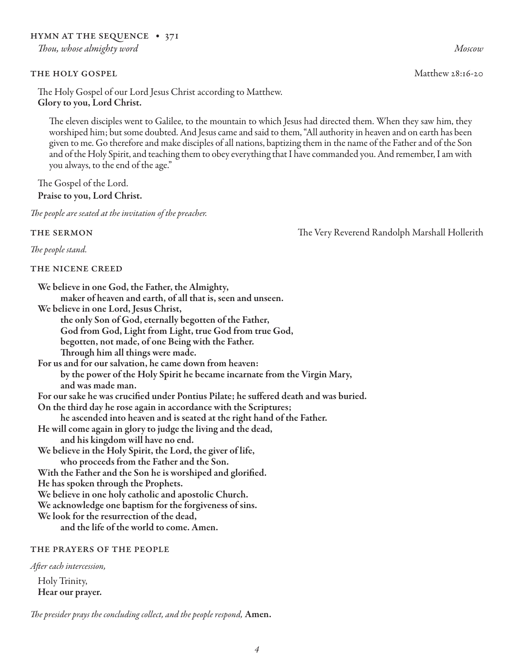#### hymn at the sequence • 371

*Thou, whose almighty word Moscow*

#### the holy gospel Matthew 28:16-20

The Holy Gospel of our Lord Jesus Christ according to Matthew. Glory to you, Lord Christ.

The eleven disciples went to Galilee, to the mountain to which Jesus had directed them. When they saw him, they worshiped him; but some doubted. And Jesus came and said to them, "All authority in heaven and on earth has been given to me. Go therefore and make disciples of all nations, baptizing them in the name of the Father and of the Son and of the Holy Spirit, and teaching them to obey everything that I have commanded you. And remember, I am with you always, to the end of the age."

The Gospel of the Lord. Praise to you, Lord Christ.

*The people are seated at the invitation of the preacher.*

the sermon The Very Reverend Randolph Marshall Hollerith

*The people stand.*

#### the nicene creed

We believe in one God, the Father, the Almighty, maker of heaven and earth, of all that is, seen and unseen. We believe in one Lord, Jesus Christ, the only Son of God, eternally begotten of the Father, God from God, Light from Light, true God from true God, begotten, not made, of one Being with the Father. Through him all things were made. For us and for our salvation, he came down from heaven: by the power of the Holy Spirit he became incarnate from the Virgin Mary, and was made man. For our sake he was crucified under Pontius Pilate; he suffered death and was buried. On the third day he rose again in accordance with the Scriptures; he ascended into heaven and is seated at the right hand of the Father. He will come again in glory to judge the living and the dead, and his kingdom will have no end. We believe in the Holy Spirit, the Lord, the giver of life, who proceeds from the Father and the Son. With the Father and the Son he is worshiped and glorified. He has spoken through the Prophets. We believe in one holy catholic and apostolic Church. We acknowledge one baptism for the forgiveness of sins. We look for the resurrection of the dead, and the life of the world to come. Amen.

### the prayers of the people

*After each intercession,* Holy Trinity,

Hear our prayer.

*The presider prays the concluding collect, and the people respond,* Amen.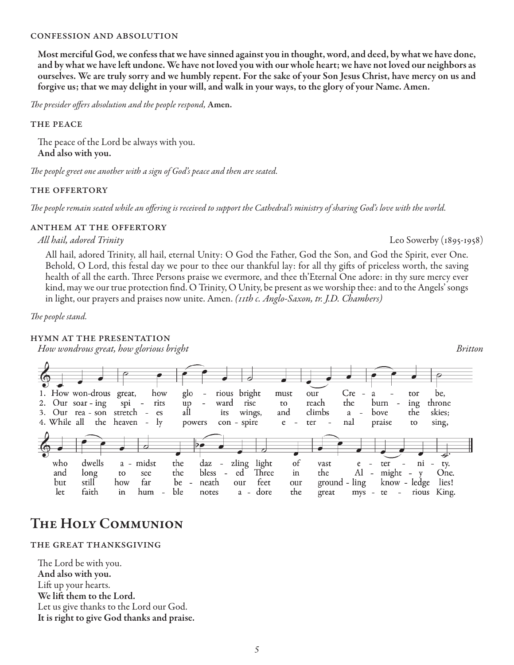#### confession and absolution

Most merciful God, we confess that we have sinned against you in thought, word, and deed, by what we have done, and by what we have left undone. We have not loved you with our whole heart; we have not loved our neighbors as ourselves. We are truly sorry and we humbly repent. For the sake of your Son Jesus Christ, have mercy on us and forgive us; that we may delight in your will, and walk in your ways, to the glory of your Name. Amen.

*The presider offers absolution and the people respond,* Amen.

#### the peace

The peace of the Lord be always with you. And also with you.

*The people greet one another with a sign of God's peace and then are seated.*

#### the offertory

*The people remain seated while an offering is received to support the Cathedral's ministry of sharing God's love with the world.*

#### anthem at the offertory

All hail, adored Trinity, all hail, eternal Unity: O God the Father, God the Son, and God the Spirit, ever One. Behold, O Lord, this festal day we pour to thee our thankful lay: for all thy gifts of priceless worth, the saving health of all the earth. Three Persons praise we evermore, and thee th'Eternal One adore: in thy sure mercy ever kind, may we our true protection find. O Trinity, O Unity, be present as we worship thee: and to the Angels' songs in light, our prayers and praises now unite. Amen. *(11th c. Anglo-Saxon, tr. J.D. Chambers)*

*The people stand.*

#### hymn at the presentation

*How wondrous great, how glorious bright Britton*



# The Holy Communion

#### the great thanksgiving

The Lord be with you. And also with you. Lift up your hearts. We lift them to the Lord. Let us give thanks to the Lord our God. It is right to give God thanks and praise.

*All hail, adored Trinity* Leo Sowerby (1895-1958)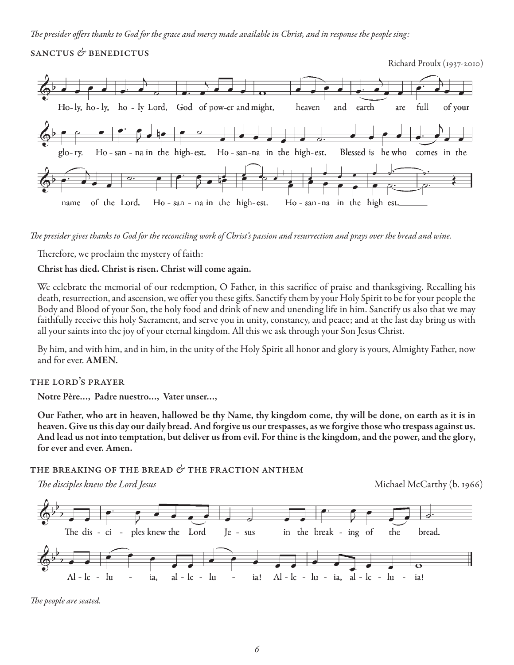*The presider offers thanks to God for the grace and mercy made available in Christ, and in response the people sing:*

### sanctus *&* benedictus

Richard Proulx (1937-2010)



*The presider gives thanks to God for the reconciling work of Christ's passion and resurrection and prays over the bread and wine.*

Therefore, we proclaim the mystery of faith:

Christ has died. Christ is risen. Christ will come again.

We celebrate the memorial of our redemption, O Father, in this sacrifice of praise and thanksgiving. Recalling his death, resurrection, and ascension, we offer you these gifts. Sanctify them by your Holy Spirit to be for your people the Body and Blood of your Son, the holy food and drink of new and unending life in him. Sanctify us also that we may faithfully receive this holy Sacrament, and serve you in unity, constancy, and peace; and at the last day bring us with all your saints into the joy of your eternal kingdom. All this we ask through your Son Jesus Christ.

By him, and with him, and in him, in the unity of the Holy Spirit all honor and glory is yours, Almighty Father, now and for ever. AMEN.

#### the lord's prayer

Notre Père…, Padre nuestro…, Vater unser…,

Our Father, who art in heaven, hallowed be thy Name, thy kingdom come, thy will be done, on earth as it is in heaven. Give us this day our daily bread. And forgive us our trespasses, as we forgive those who trespass against us. And lead us not into temptation, but deliver us from evil. For thine is the kingdom, and the power, and the glory, for ever and ever. Amen.

### the breaking of the bread *&* the fraction anthem

*The disciples knew the Lord Jesus Michael McCarthy (b. 1966)* 



*The people are seated.*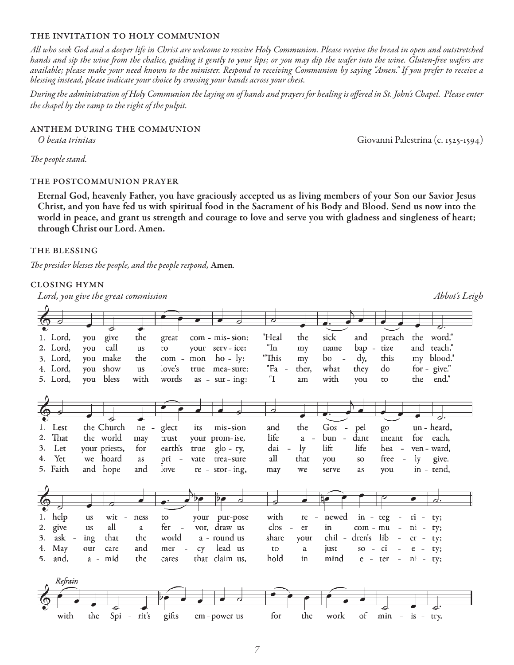#### the invitation to holy communion

*All who seek God and a deeper life in Christ are welcome to receive Holy Communion. Please receive the bread in open and outstretched hands and sip the wine from the chalice, guiding it gently to your lips; or you may dip the wafer into the wine. Gluten-free wafers are available; please make your need known to the minister. Respond to receiving Communion by saying "Amen." If you prefer to receive a blessing instead, please indicate your choice by crossing your hands across your chest.* 

*During the administration of Holy Communion the laying on of hands and prayers for healing is offered in St. John's Chapel. Please enter the chapel by the ramp to the right of the pulpit.*

#### anthem during the communion

*O beata trinitas* Giovanni Palestrina (c. 1525-1594)

*The people stand.* 

#### the postcommunion prayer

Eternal God, heavenly Father, you have graciously accepted us as living members of your Son our Savior Jesus Christ, and you have fed us with spiritual food in the Sacrament of his Body and Blood. Send us now into the world in peace, and grant us strength and courage to love and serve you with gladness and singleness of heart; through Christ our Lord. Amen.

#### the blessing

*The presider blesses the people, and the people respond,* Amen*.*

#### closing hymn

*Lord, you give the great commission Abbot's Leigh*

|               |                                       |                                   |                                 |                      |                 |              | <i>.</i>          |            |                                        |                           |                 |
|---------------|---------------------------------------|-----------------------------------|---------------------------------|----------------------|-----------------|--------------|-------------------|------------|----------------------------------------|---------------------------|-----------------|
|               |                                       |                                   |                                 |                      |                 |              |                   |            |                                        |                           |                 |
| 1. Lord,      | give<br>you                           | the                               | great                           | com - mis-sion:      | "Heal           | the          | sick              | and        | preach                                 |                           | the word."      |
| 2. Lord,      | call<br>you                           | <b>us</b>                         | to                              | your serv-ice:       | "In             | my           | name              | $bap -$    | tize                                   |                           | and teach."     |
| 3. Lord,      | you make                              | the                               | com - mon                       | $ho - ly:$           | "This           | my           | bo<br>$\sim$      | dy,        | this                                   |                           | my blood."      |
| 4. Lord,      | you show                              | <b>us</b>                         | love's                          | true<br>mea-sure:    | $"Fa -$         | ther,        | what              | they       | do                                     |                           | for - $give.$ " |
| 5. Lord,      | you bless                             | with                              | words                           | $as - sur - ing:$    | $\mathbf{I}^n$  | am           | with              | you        | $\mathsf{to}$                          | the                       | end."           |
|               |                                       |                                   |                                 |                      |                 |              |                   |            |                                        |                           |                 |
|               |                                       |                                   |                                 |                      |                 |              |                   |            |                                        |                           |                 |
|               |                                       |                                   |                                 |                      | $\sigma$        |              |                   |            |                                        |                           |                 |
|               |                                       |                                   |                                 |                      |                 |              |                   |            |                                        |                           |                 |
| Lest<br>1.    | the Church                            | ne -                              | glect                           | mis-sion<br>its      | and             | the          | Gos<br>$\sim$ $-$ | pel        | go                                     |                           | un - heard,     |
| That<br>2.    | the world                             | may                               | trust                           | your prom-ise,       | life            | a<br>$\sim$  | $bun -$           | dant       | meant                                  |                           | for each,       |
| Let<br>3.     | your priests,                         | for                               | earth's                         | $g$ lo - ry,<br>true | dai<br>$\equiv$ | $\mathbf{I}$ | lift              | life       | hea - ven - ward,                      |                           |                 |
| Yet<br>4.     | we hoard                              | as                                | pri -                           | vate<br>trea-sure    | all             | that         | you               | <b>SO</b>  | free<br>$\mathcal{L}$                  | 1y                        | give.           |
| 5. Faith      | and hope                              | and                               | love                            | $re - stor - ing$ ,  | may             | we           | serve             | as         | you                                    |                           | in - tend,      |
|               |                                       |                                   |                                 |                      |                 |              |                   |            |                                        |                           |                 |
|               |                                       |                                   |                                 |                      |                 |              |                   |            |                                        |                           |                 |
|               |                                       |                                   |                                 |                      |                 |              |                   |            |                                        |                           |                 |
|               |                                       |                                   |                                 |                      |                 |              |                   |            |                                        |                           |                 |
| help<br>1.    | wit<br>us<br>$\overline{\phantom{a}}$ | ness                              | to                              | your<br>pur-pose     | with            | re -         | newed             | $in - teg$ | $\sim$                                 | $\overline{\mathbf{n}}$ - | ty;             |
| give<br>2.    | all<br><b>us</b>                      | a                                 | fer<br>$\overline{\phantom{a}}$ | vor, draw us         | clos<br>$\sim$  | er           | in                |            | $com - mu -$                           | $ni - ty;$                |                 |
| $ask -$<br>3. | that<br>ing                           | the                               | world                           | a - round us         | share           | your         | chil - dren's lib |            |                                        | $-$ er $-$ ty;            |                 |
| May<br>4.     | our<br>care                           | and                               | mer<br>$\sim$                   | lead us<br>cy        | to              | a            | just              | $so - ci$  | $\overline{\phantom{a}}$               | $e - ty;$                 |                 |
| and,<br>5.    | mid<br>$a -$                          | the                               | cares                           | that claim us,       | hold            | in           | mind              |            | $\mathcal{L}=\mathcal{L}$<br>$e$ – ter | $ni - ty;$                |                 |
|               |                                       |                                   |                                 |                      |                 |              |                   |            |                                        |                           |                 |
| Refrain       |                                       |                                   |                                 |                      |                 |              |                   |            |                                        |                           |                 |
|               |                                       |                                   |                                 |                      |                 |              |                   |            |                                        |                           |                 |
|               |                                       |                                   |                                 |                      |                 |              |                   |            |                                        |                           |                 |
| with          | Spi<br>the                            | rit's<br>$\overline{\phantom{a}}$ | gifts                           | em-power us          | for             | the          | work              | of         | min                                    | $-$ is $-$                | try.            |
|               |                                       |                                   |                                 |                      |                 |              |                   |            |                                        |                           |                 |